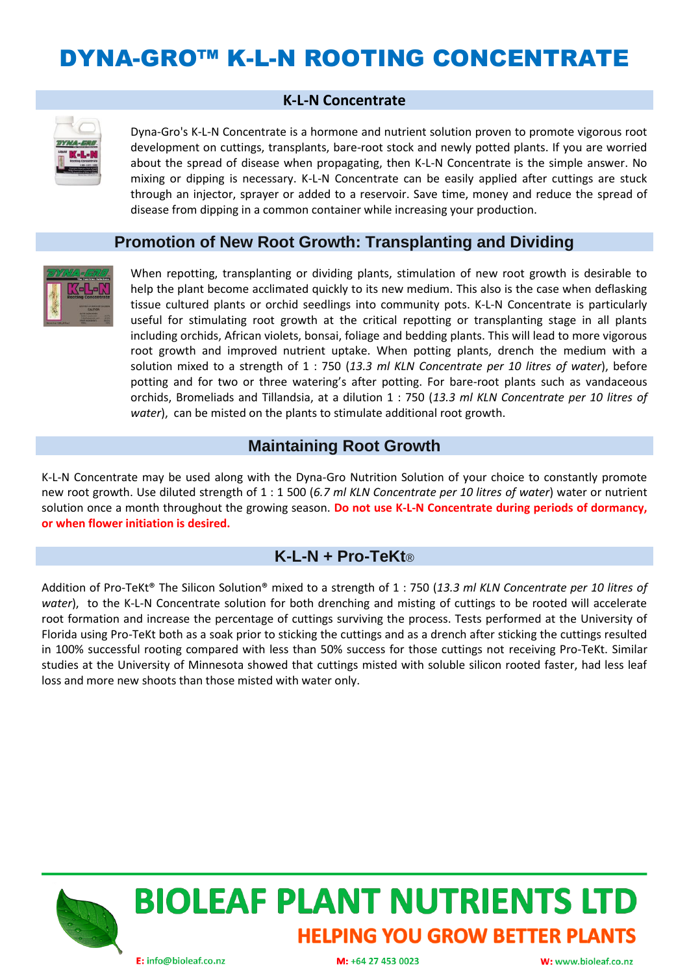## DYNA-GRO™ K-L-N ROOTING CONCENTRATE

#### **K-L-N Concentrate**



Dyna-Gro's K-L-N Concentrate is a hormone and nutrient solution proven to promote vigorous root development on cuttings, transplants, bare-root stock and newly potted plants. If you are worried about the spread of disease when propagating, then K-L-N Concentrate is the simple answer. No mixing or dipping is necessary. K-L-N Concentrate can be easily applied after cuttings are stuck through an injector, sprayer or added to a reservoir. Save time, money and reduce the spread of disease from dipping in a common container while increasing your production.

#### **Promotion of New Root Growth: Transplanting and Dividing**



When repotting, transplanting or dividing plants, stimulation of new root growth is desirable to help the plant become acclimated quickly to its new medium. This also is the case when deflasking tissue cultured plants or orchid seedlings into community pots. K-L-N Concentrate is particularly useful for stimulating root growth at the critical repotting or transplanting stage in all plants including orchids, African violets, bonsai, foliage and bedding plants. This will lead to more vigorous root growth and improved nutrient uptake. When potting plants, drench the medium with a solution mixed to a strength of 1 : 750 (*13.3 ml KLN Concentrate per 10 litres of water*), before potting and for two or three watering's after potting. For bare-root plants such as vandaceous orchids, Bromeliads and Tillandsia, at a dilution 1 : 750 (*13.3 ml KLN Concentrate per 10 litres of water*), can be misted on the plants to stimulate additional root growth.

### **Maintaining Root Growth**

K-L-N Concentrate may be used along with the Dyna-Gro Nutrition Solution of your choice to constantly promote new root growth. Use diluted strength of 1 : 1 500 (*6.7 ml KLN Concentrate per 10 litres of water*) water or nutrient solution once a month throughout the growing season. **Do not use K-L-N Concentrate during periods of dormancy, or when flower initiation is desired.**

#### **K-L-N + Pro-TeKt**®

Addition of Pro-TeKt® The Silicon Solution® mixed to a strength of 1 : 750 (*13.3 ml KLN Concentrate per 10 litres of water*), to the K-L-N Concentrate solution for both drenching and misting of cuttings to be rooted will accelerate root formation and increase the percentage of cuttings surviving the process. Tests performed at the University of Florida using Pro-TeKt both as a soak prior to sticking the cuttings and as a drench after sticking the cuttings resulted in 100% successful rooting compared with less than 50% success for those cuttings not receiving Pro-TeKt. Similar studies at the University of Minnesota showed that cuttings misted with soluble silicon rooted faster, had less leaf loss and more new shoots than those misted with water only.





M: +64 27 453 0023